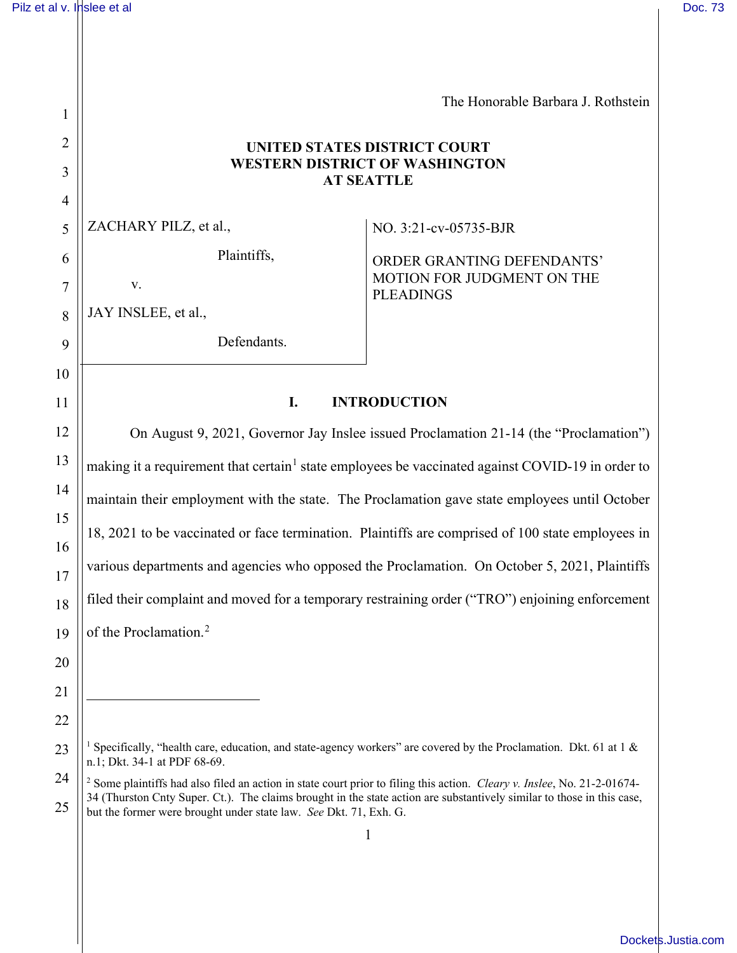1

2

3

4

5

6

7

8

9

10

11

The Honorable Barbara J. Rothstein

# **UNITED STATES DISTRICT COURT WESTERN DISTRICT OF WASHINGTON AT SEATTLE**

ZACHARY PILZ, et al.,

Plaintiffs,

JAY INSLEE, et al.,

v.

# Defendants.

NO. 3:21-cv-05735-BJR

ORDER GRANTING DEFENDANTS' MOTION FOR JUDGMENT ON THE PLEADINGS

# **I. INTRODUCTION**

On August 9, 2021, Governor Jay Inslee issued Proclamation 21-14 (the "Proclamation") making it a requirement that certain<sup>[1](#page-0-0)</sup> state employees be vaccinated against COVID-19 in order to maintain their employment with the state. The Proclamation gave state employees until October 18, 2021 to be vaccinated or face termination. Plaintiffs are comprised of 100 state employees in various departments and agencies who opposed the Proclamation. On October 5, 2021, Plaintiffs filed their complaint and moved for a temporary restraining order ("TRO") enjoining enforcement of the Proclamation. [2](#page-0-1)

<sup>&</sup>lt;sup>1</sup> Specifically, "health care, education, and state-agency workers" are covered by the Proclamation. Dkt. 61 at 1  $\&$ n.1; Dkt. 34-1 at PDF 68-69.

<span id="page-0-1"></span><span id="page-0-0"></span><sup>25</sup>  <sup>2</sup> Some plaintiffs had also filed an action in state court prior to filing this action. *Cleary v. Inslee*, No. 21-2-01674- 34 (Thurston Cnty Super. Ct.). The claims brought in the state action are substantively similar to those in this case, but the former were brought under state law. *See* Dkt. 71, Exh. G.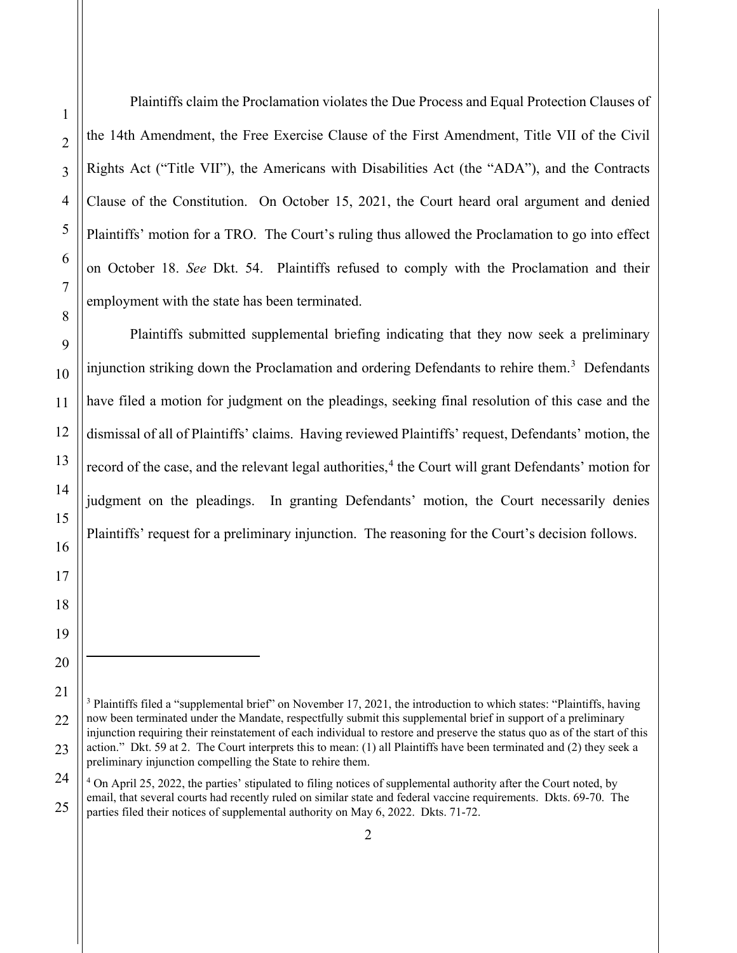Plaintiffs claim the Proclamation violates the Due Process and Equal Protection Clauses of the 14th Amendment, the Free Exercise Clause of the First Amendment, Title VII of the Civil Rights Act ("Title VII"), the Americans with Disabilities Act (the "ADA"), and the Contracts Clause of the Constitution. On October 15, 2021, the Court heard oral argument and denied Plaintiffs' motion for a TRO. The Court's ruling thus allowed the Proclamation to go into effect on October 18. *See* Dkt. 54. Plaintiffs refused to comply with the Proclamation and their employment with the state has been terminated.

Plaintiffs submitted supplemental briefing indicating that they now seek a preliminary injunction striking down the Proclamation and ordering Defendants to rehire them.<sup>[3](#page-1-0)</sup> Defendants have filed a motion for judgment on the pleadings, seeking final resolution of this case and the dismissal of all of Plaintiffs' claims. Having reviewed Plaintiffs' request, Defendants' motion, the record of the case, and the relevant legal authorities,<sup>[4](#page-1-1)</sup> the Court will grant Defendants' motion for judgment on the pleadings. In granting Defendants' motion, the Court necessarily denies Plaintiffs' request for a preliminary injunction. The reasoning for the Court's decision follows.

<span id="page-1-0"></span><sup>&</sup>lt;sup>3</sup> Plaintiffs filed a "supplemental brief" on November 17, 2021, the introduction to which states: "Plaintiffs, having now been terminated under the Mandate, respectfully submit this supplemental brief in support of a preliminary injunction requiring their reinstatement of each individual to restore and preserve the status quo as of the start of this action." Dkt. 59 at 2. The Court interprets this to mean: (1) all Plaintiffs have been terminated and (2) they seek a preliminary injunction compelling the State to rehire them.

<span id="page-1-1"></span><sup>25</sup>   $4$  On April 25, 2022, the parties' stipulated to filing notices of supplemental authority after the Court noted, by email, that several courts had recently ruled on similar state and federal vaccine requirements. Dkts. 69-70. The parties filed their notices of supplemental authority on May 6, 2022. Dkts. 71-72.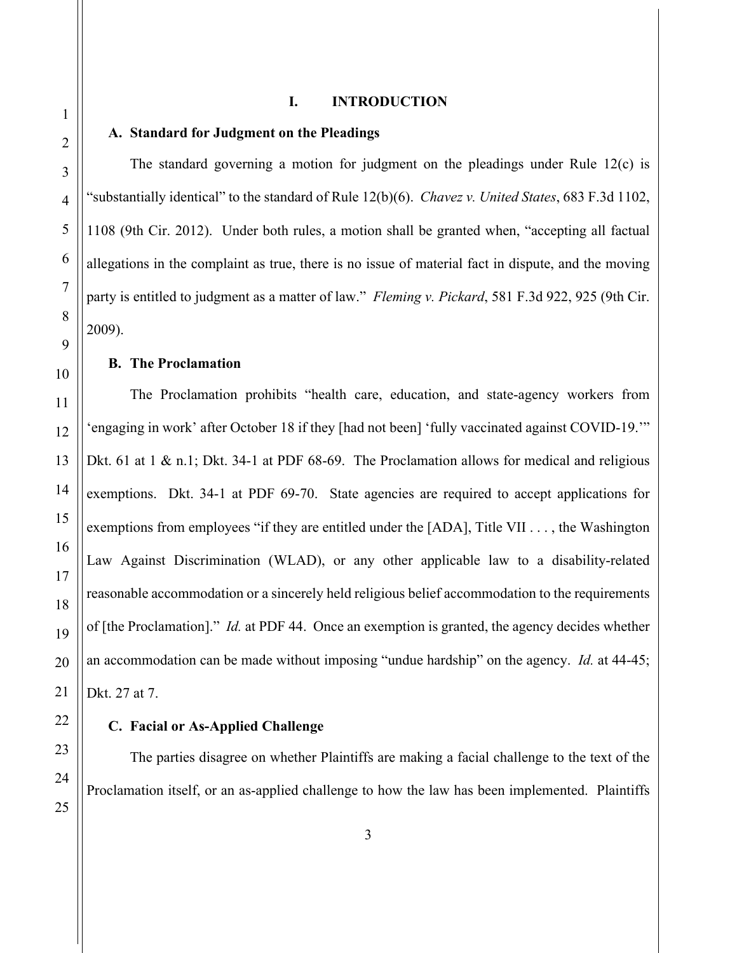### **I. INTRODUCTION**

### **A. Standard for Judgment on the Pleadings**

The standard governing a motion for judgment on the pleadings under Rule 12(c) is "substantially identical" to the standard of Rule 12(b)(6). *Chavez v. United States*, 683 F.3d 1102, 1108 (9th Cir. 2012). Under both rules, a motion shall be granted when, "accepting all factual allegations in the complaint as true, there is no issue of material fact in dispute, and the moving party is entitled to judgment as a matter of law." *Fleming v. Pickard*, 581 F.3d 922, 925 (9th Cir. 2009).

### **B. The Proclamation**

The Proclamation prohibits "health care, education, and state-agency workers from 'engaging in work' after October 18 if they [had not been] 'fully vaccinated against COVID-19.'" Dkt. 61 at 1 & n.1; Dkt. 34-1 at PDF 68-69. The Proclamation allows for medical and religious exemptions. Dkt. 34-1 at PDF 69-70. State agencies are required to accept applications for exemptions from employees "if they are entitled under the [ADA], Title VII . . . , the Washington Law Against Discrimination (WLAD), or any other applicable law to a disability-related reasonable accommodation or a sincerely held religious belief accommodation to the requirements of [the Proclamation]." *Id.* at PDF 44. Once an exemption is granted, the agency decides whether an accommodation can be made without imposing "undue hardship" on the agency. *Id.* at 44-45; Dkt. 27 at 7.

#### **C. Facial or As-Applied Challenge**

The parties disagree on whether Plaintiffs are making a facial challenge to the text of the Proclamation itself, or an as-applied challenge to how the law has been implemented. Plaintiffs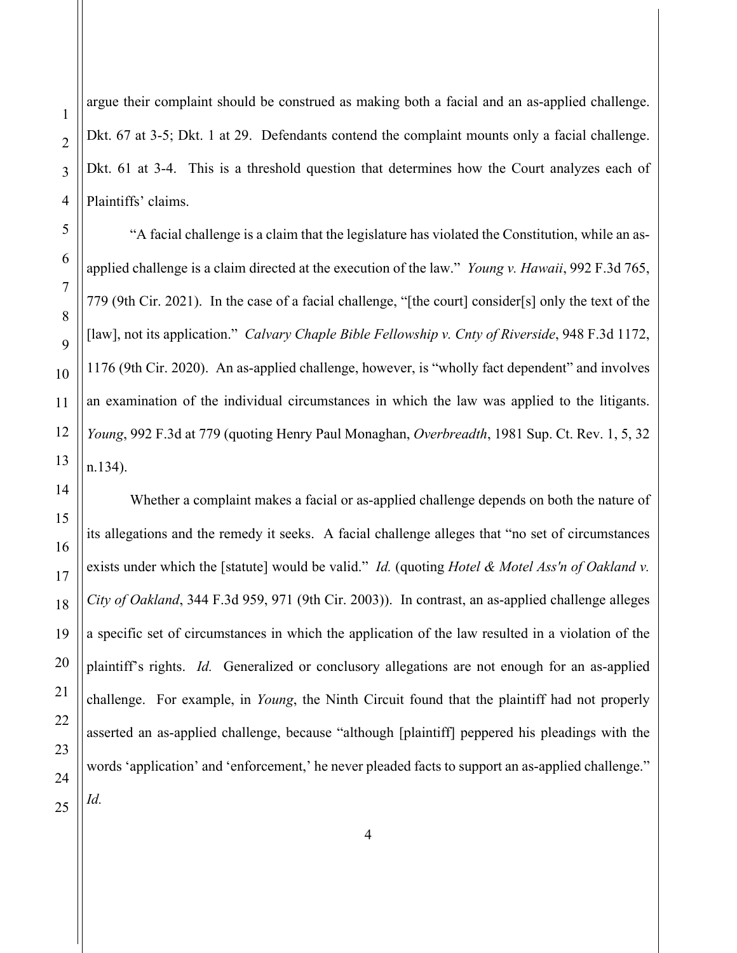1

2

3

argue their complaint should be construed as making both a facial and an as-applied challenge. Dkt. 67 at 3-5; Dkt. 1 at 29. Defendants contend the complaint mounts only a facial challenge. Dkt. 61 at 3-4. This is a threshold question that determines how the Court analyzes each of Plaintiffs' claims.

"A facial challenge is a claim that the legislature has violated the Constitution, while an asapplied challenge is a claim directed at the execution of the law." *Young v. Hawaii*, 992 F.3d 765, 779 (9th Cir. 2021). In the case of a facial challenge, "[the court] consider[s] only the text of the [law], not its application." *Calvary Chaple Bible Fellowship v. Cnty of Riverside*, 948 F.3d 1172, 1176 (9th Cir. 2020). An as-applied challenge, however, is "wholly fact dependent" and involves an examination of the individual circumstances in which the law was applied to the litigants. *Young*, 992 F.3d at 779 (quoting Henry Paul Monaghan, *Overbreadth*, 1981 Sup. Ct. Rev. 1, 5, 32 n.134).

Whether a complaint makes a facial or as-applied challenge depends on both the nature of its allegations and the remedy it seeks. A facial challenge alleges that "no set of circumstances exists under which the [statute] would be valid." *Id.* (quoting *Hotel & Motel Ass'n of Oakland v. City of Oakland*, 344 F.3d 959, 971 (9th Cir. 2003)). In contrast, an as-applied challenge alleges a specific set of circumstances in which the application of the law resulted in a violation of the plaintiff's rights. *Id.* Generalized or conclusory allegations are not enough for an as-applied challenge. For example, in *Young*, the Ninth Circuit found that the plaintiff had not properly asserted an as-applied challenge, because "although [plaintiff] peppered his pleadings with the words 'application' and 'enforcement,' he never pleaded facts to support an as-applied challenge."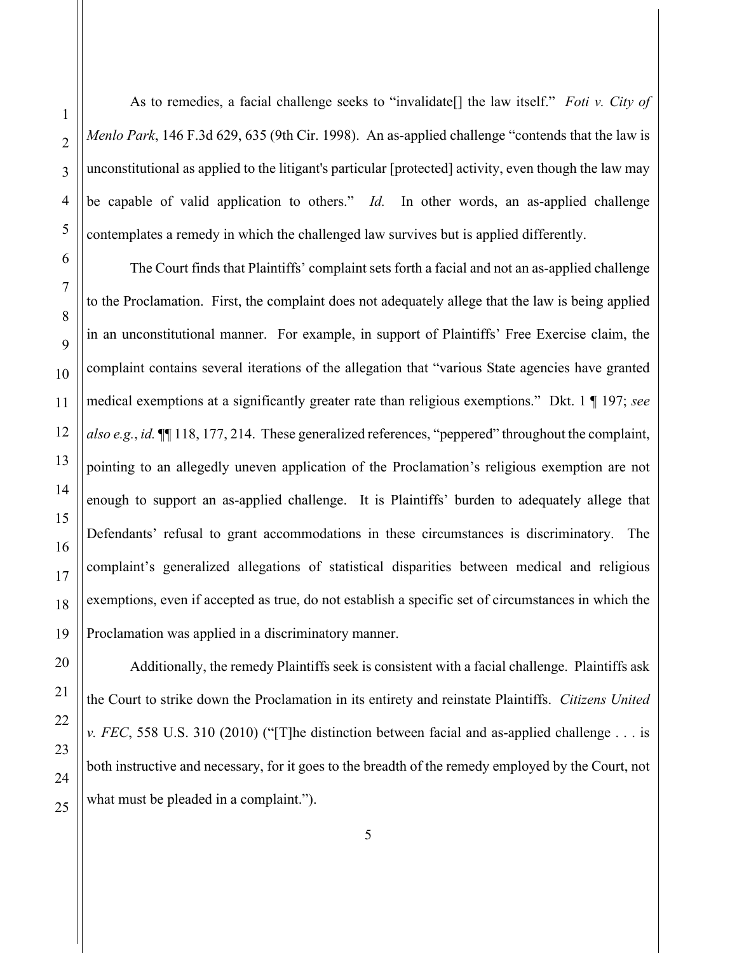As to remedies, a facial challenge seeks to "invalidate[] the law itself." *Foti v. City of Menlo Park*, 146 F.3d 629, 635 (9th Cir. 1998). An as-applied challenge "contends that the law is unconstitutional as applied to the litigant's particular [protected] activity, even though the law may be capable of valid application to others." *Id.* In other words, an as-applied challenge contemplates a remedy in which the challenged law survives but is applied differently.

The Court finds that Plaintiffs' complaint sets forth a facial and not an as-applied challenge to the Proclamation. First, the complaint does not adequately allege that the law is being applied in an unconstitutional manner. For example, in support of Plaintiffs' Free Exercise claim, the complaint contains several iterations of the allegation that "various State agencies have granted medical exemptions at a significantly greater rate than religious exemptions." Dkt. 1 ¶ 197; *see also e.g.*, *id.* ¶¶ 118, 177, 214. These generalized references, "peppered" throughout the complaint, pointing to an allegedly uneven application of the Proclamation's religious exemption are not enough to support an as-applied challenge. It is Plaintiffs' burden to adequately allege that Defendants' refusal to grant accommodations in these circumstances is discriminatory. The complaint's generalized allegations of statistical disparities between medical and religious exemptions, even if accepted as true, do not establish a specific set of circumstances in which the Proclamation was applied in a discriminatory manner.

Additionally, the remedy Plaintiffs seek is consistent with a facial challenge. Plaintiffs ask the Court to strike down the Proclamation in its entirety and reinstate Plaintiffs. *Citizens United v. FEC*, 558 U.S. 310 (2010) ("[T]he distinction between facial and as-applied challenge . . . is both instructive and necessary, for it goes to the breadth of the remedy employed by the Court, not what must be pleaded in a complaint.").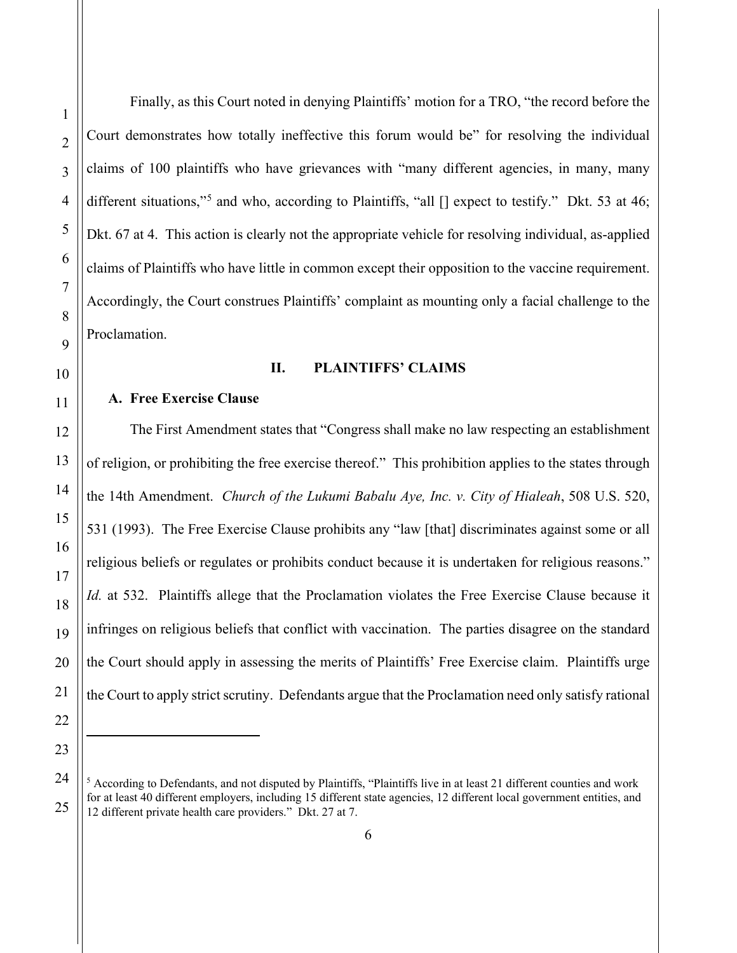Finally, as this Court noted in denying Plaintiffs' motion for a TRO, "the record before the Court demonstrates how totally ineffective this forum would be" for resolving the individual claims of 100 plaintiffs who have grievances with "many different agencies, in many, many different situations,"<sup>[5](#page-5-0)</sup> and who, according to Plaintiffs, "all [] expect to testify." Dkt. 53 at 46; Dkt. 67 at 4. This action is clearly not the appropriate vehicle for resolving individual, as-applied claims of Plaintiffs who have little in common except their opposition to the vaccine requirement. Accordingly, the Court construes Plaintiffs' complaint as mounting only a facial challenge to the Proclamation.

### **II. PLAINTIFFS' CLAIMS**

# **A. Free Exercise Clause**

The First Amendment states that "Congress shall make no law respecting an establishment of religion, or prohibiting the free exercise thereof." This prohibition applies to the states through the 14th Amendment. *Church of the Lukumi Babalu Aye, Inc. v. City of Hialeah*, 508 U.S. 520, 531 (1993). The Free Exercise Clause prohibits any "law [that] discriminates against some or all religious beliefs or regulates or prohibits conduct because it is undertaken for religious reasons." *Id.* at 532. Plaintiffs allege that the Proclamation violates the Free Exercise Clause because it infringes on religious beliefs that conflict with vaccination. The parties disagree on the standard the Court should apply in assessing the merits of Plaintiffs' Free Exercise claim. Plaintiffs urge the Court to apply strict scrutiny. Defendants argue that the Proclamation need only satisfy rational

<span id="page-5-0"></span> $<sup>5</sup>$  According to Defendants, and not disputed by Plaintiffs, "Plaintiffs live in at least 21 different counties and work</sup> for at least 40 different employers, including 15 different state agencies, 12 different local government entities, and 12 different private health care providers." Dkt. 27 at 7.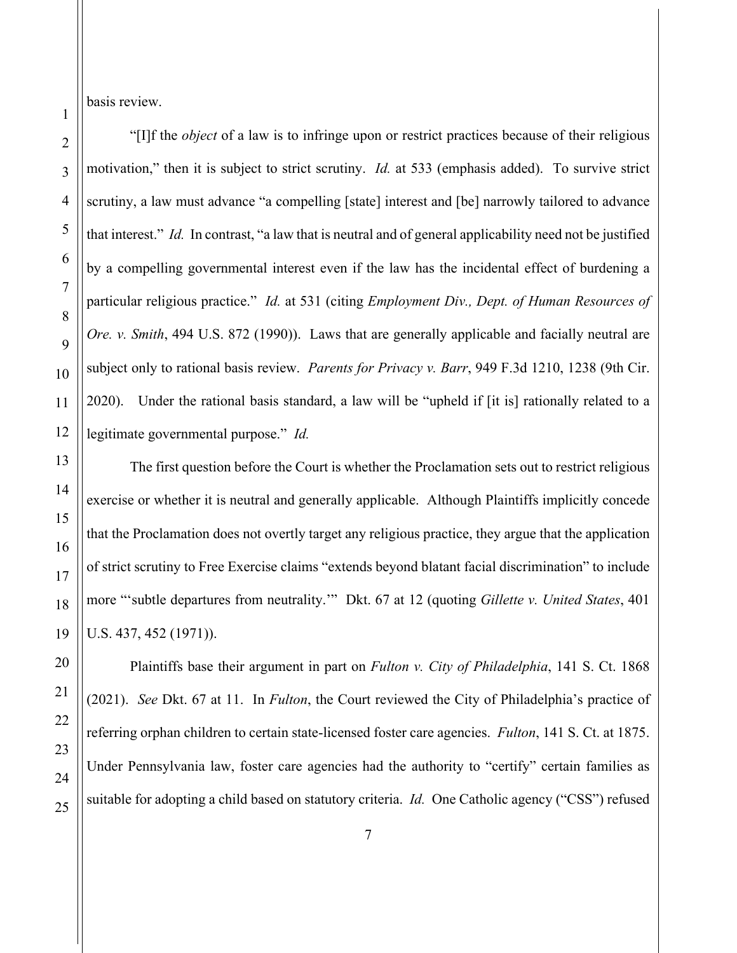basis review.

1

"[I]f the *object* of a law is to infringe upon or restrict practices because of their religious motivation," then it is subject to strict scrutiny. *Id.* at 533 (emphasis added). To survive strict scrutiny, a law must advance "a compelling [state] interest and [be] narrowly tailored to advance that interest." *Id.* In contrast, "a law that is neutral and of general applicability need not be justified by a compelling governmental interest even if the law has the incidental effect of burdening a particular religious practice." *Id.* at 531 (citing *Employment Div., Dept. of Human Resources of Ore. v. Smith*, 494 U.S. 872 (1990)). Laws that are generally applicable and facially neutral are subject only to rational basis review. *Parents for Privacy v. Barr*, 949 F.3d 1210, 1238 (9th Cir. 2020). Under the rational basis standard, a law will be "upheld if [it is] rationally related to a legitimate governmental purpose." *Id.*

The first question before the Court is whether the Proclamation sets out to restrict religious exercise or whether it is neutral and generally applicable. Although Plaintiffs implicitly concede that the Proclamation does not overtly target any religious practice, they argue that the application of strict scrutiny to Free Exercise claims "extends beyond blatant facial discrimination" to include more "'subtle departures from neutrality.'" Dkt. 67 at 12 (quoting *Gillette v. United States*, 401 U.S. 437, 452 (1971)).

Plaintiffs base their argument in part on *Fulton v. City of Philadelphia*, 141 S. Ct. 1868 (2021). *See* Dkt. 67 at 11. In *Fulton*, the Court reviewed the City of Philadelphia's practice of referring orphan children to certain state-licensed foster care agencies. *Fulton*, 141 S. Ct. at 1875. Under Pennsylvania law, foster care agencies had the authority to "certify" certain families as suitable for adopting a child based on statutory criteria. *Id.* One Catholic agency ("CSS") refused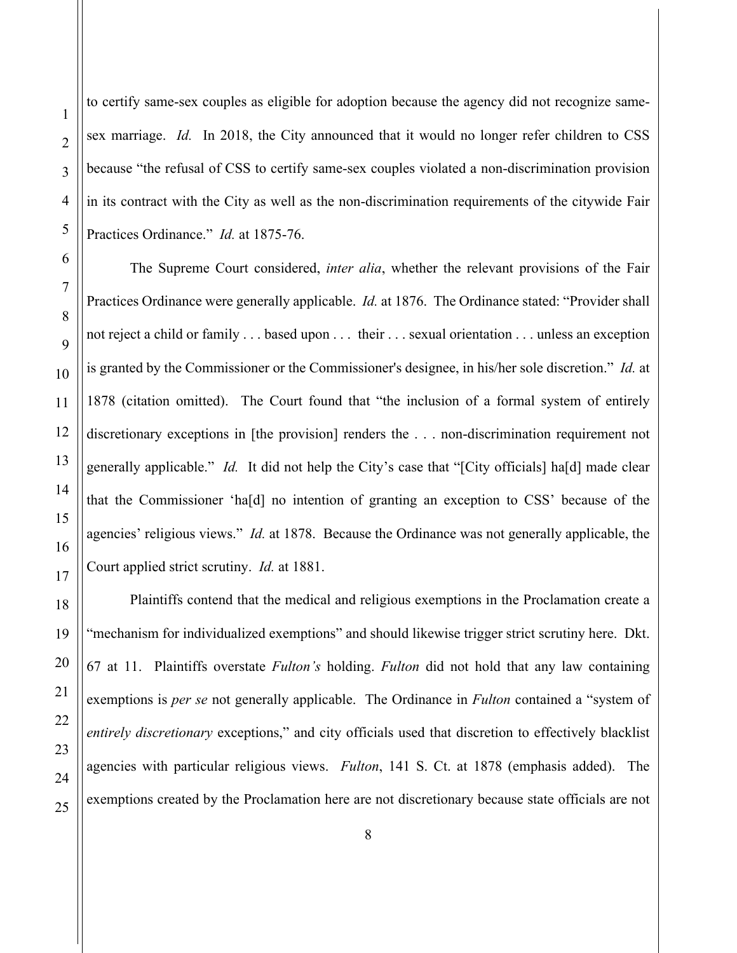1

2

20

21

22

23

24

25

to certify same-sex couples as eligible for adoption because the agency did not recognize samesex marriage. *Id.* In 2018, the City announced that it would no longer refer children to CSS because "the refusal of CSS to certify same-sex couples violated a non-discrimination provision in its contract with the City as well as the non-discrimination requirements of the citywide Fair Practices Ordinance." *Id.* at 1875-76.

The Supreme Court considered, *inter alia*, whether the relevant provisions of the Fair Practices Ordinance were generally applicable. *Id.* at 1876. The Ordinance stated: "Provider shall not reject a child or family . . . based upon . . . their . . . sexual orientation . . . unless an exception is granted by the Commissioner or the Commissioner's designee, in his/her sole discretion." *Id.* at 1878 (citation omitted). The Court found that "the inclusion of a formal system of entirely discretionary exceptions in [the provision] renders the . . . non-discrimination requirement not generally applicable." *Id.* It did not help the City's case that "[City officials] ha[d] made clear that the Commissioner 'ha[d] no intention of granting an exception to CSS' because of the agencies' religious views." *Id.* at 1878. Because the Ordinance was not generally applicable, the Court applied strict scrutiny. *Id.* at 1881.

Plaintiffs contend that the medical and religious exemptions in the Proclamation create a "mechanism for individualized exemptions" and should likewise trigger strict scrutiny here. Dkt. 67 at 11. Plaintiffs overstate *Fulton's* holding. *Fulton* did not hold that any law containing exemptions is *per se* not generally applicable. The Ordinance in *Fulton* contained a "system of *entirely discretionary* exceptions," and city officials used that discretion to effectively blacklist agencies with particular religious views. *Fulton*, 141 S. Ct. at 1878 (emphasis added). The exemptions created by the Proclamation here are not discretionary because state officials are not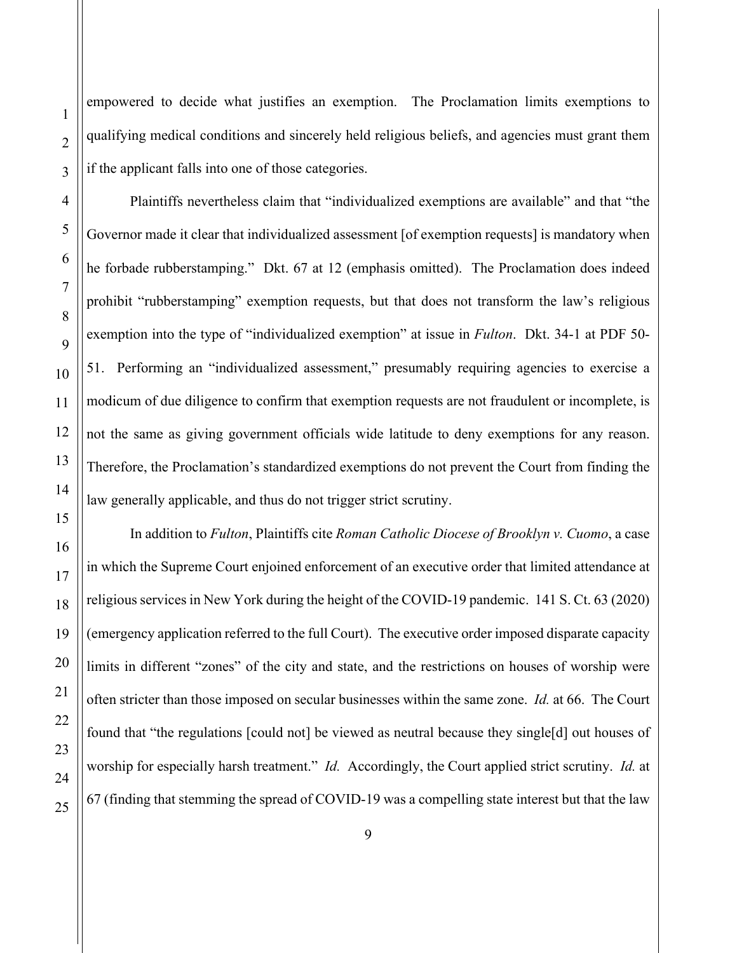25

1

2

empowered to decide what justifies an exemption. The Proclamation limits exemptions to qualifying medical conditions and sincerely held religious beliefs, and agencies must grant them if the applicant falls into one of those categories.

Plaintiffs nevertheless claim that "individualized exemptions are available" and that "the Governor made it clear that individualized assessment [of exemption requests] is mandatory when he forbade rubberstamping." Dkt. 67 at 12 (emphasis omitted). The Proclamation does indeed prohibit "rubberstamping" exemption requests, but that does not transform the law's religious exemption into the type of "individualized exemption" at issue in *Fulton*. Dkt. 34-1 at PDF 50- 51. Performing an "individualized assessment," presumably requiring agencies to exercise a modicum of due diligence to confirm that exemption requests are not fraudulent or incomplete, is not the same as giving government officials wide latitude to deny exemptions for any reason. Therefore, the Proclamation's standardized exemptions do not prevent the Court from finding the law generally applicable, and thus do not trigger strict scrutiny.

In addition to *Fulton*, Plaintiffs cite *Roman Catholic Diocese of Brooklyn v. Cuomo*, a case in which the Supreme Court enjoined enforcement of an executive order that limited attendance at religious services in New York during the height of the COVID-19 pandemic. 141 S. Ct. 63 (2020) (emergency application referred to the full Court). The executive order imposed disparate capacity limits in different "zones" of the city and state, and the restrictions on houses of worship were often stricter than those imposed on secular businesses within the same zone. *Id.* at 66. The Court found that "the regulations [could not] be viewed as neutral because they single[d] out houses of worship for especially harsh treatment." *Id.* Accordingly, the Court applied strict scrutiny. *Id.* at 67 (finding that stemming the spread of COVID-19 was a compelling state interest but that the law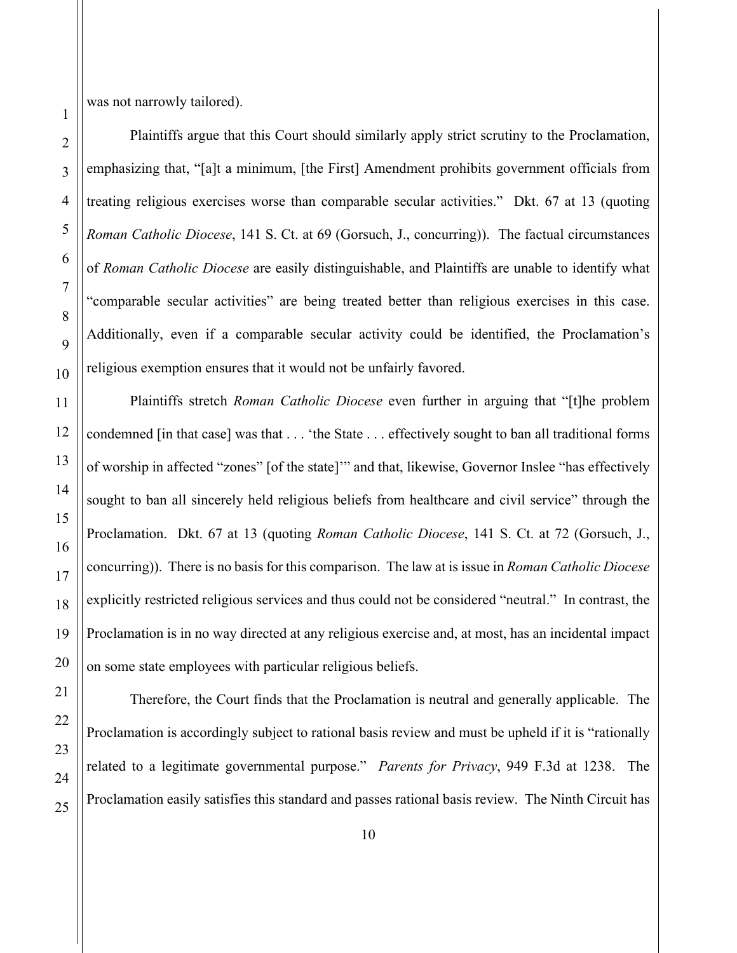was not narrowly tailored).

Plaintiffs argue that this Court should similarly apply strict scrutiny to the Proclamation, emphasizing that, "[a]t a minimum, [the First] Amendment prohibits government officials from treating religious exercises worse than comparable secular activities." Dkt. 67 at 13 (quoting *Roman Catholic Diocese*, 141 S. Ct. at 69 (Gorsuch, J., concurring)). The factual circumstances of *Roman Catholic Diocese* are easily distinguishable, and Plaintiffs are unable to identify what "comparable secular activities" are being treated better than religious exercises in this case. Additionally, even if a comparable secular activity could be identified, the Proclamation's religious exemption ensures that it would not be unfairly favored.

Plaintiffs stretch *Roman Catholic Diocese* even further in arguing that "[t]he problem condemned [in that case] was that . . . 'the State . . . effectively sought to ban all traditional forms of worship in affected "zones" [of the state]'" and that, likewise, Governor Inslee "has effectively sought to ban all sincerely held religious beliefs from healthcare and civil service" through the Proclamation. Dkt. 67 at 13 (quoting *Roman Catholic Diocese*, 141 S. Ct. at 72 (Gorsuch, J., concurring)). There is no basis for this comparison. The law at is issue in *Roman Catholic Diocese*  explicitly restricted religious services and thus could not be considered "neutral." In contrast, the Proclamation is in no way directed at any religious exercise and, at most, has an incidental impact on some state employees with particular religious beliefs.

Therefore, the Court finds that the Proclamation is neutral and generally applicable. The Proclamation is accordingly subject to rational basis review and must be upheld if it is "rationally related to a legitimate governmental purpose." *Parents for Privacy*, 949 F.3d at 1238. The Proclamation easily satisfies this standard and passes rational basis review. The Ninth Circuit has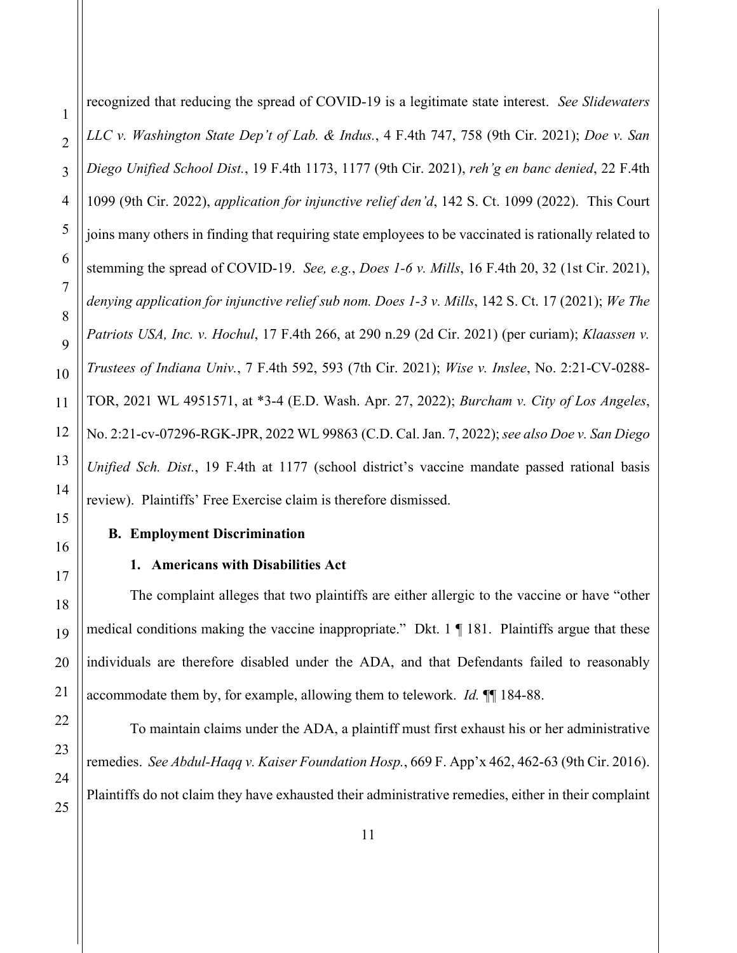recognized that reducing the spread of COVID-19 is a legitimate state interest. *See Slidewaters LLC v. Washington State Dep't of Lab. & Indus.*, 4 F.4th 747, 758 (9th Cir. 2021); *Doe v. San Diego Unified School Dist.*, 19 F.4th 1173, 1177 (9th Cir. 2021), *reh'g en banc denied*, 22 F.4th 1099 (9th Cir. 2022), *application for injunctive relief den'd*, 142 S. Ct. 1099 (2022). This Court joins many others in finding that requiring state employees to be vaccinated is rationally related to stemming the spread of COVID-19. *See, e.g.*, *Does 1-6 v. Mills*, 16 F.4th 20, 32 (1st Cir. 2021), *denying application for injunctive relief sub nom. Does 1-3 v. Mills*, 142 S. Ct. 17 (2021); *We The Patriots USA, Inc. v. Hochul*, 17 F.4th 266, at 290 n.29 (2d Cir. 2021) (per curiam); *Klaassen v. Trustees of Indiana Univ.*, 7 F.4th 592, 593 (7th Cir. 2021); *Wise v. Inslee*, No. 2:21-CV-0288- TOR, 2021 WL 4951571, at \*3-4 (E.D. Wash. Apr. 27, 2022); *Burcham v. City of Los Angeles*, No. 2:21-cv-07296-RGK-JPR, 2022 WL 99863 (C.D. Cal. Jan. 7, 2022); *see also Doe v. San Diego Unified Sch. Dist.*, 19 F.4th at 1177 (school district's vaccine mandate passed rational basis review). Plaintiffs' Free Exercise claim is therefore dismissed.

### **B. Employment Discrimination**

### **1. Americans with Disabilities Act**

The complaint alleges that two plaintiffs are either allergic to the vaccine or have "other medical conditions making the vaccine inappropriate." Dkt. 1 ¶ 181. Plaintiffs argue that these individuals are therefore disabled under the ADA, and that Defendants failed to reasonably accommodate them by, for example, allowing them to telework. *Id.* ¶¶ 184-88.

To maintain claims under the ADA, a plaintiff must first exhaust his or her administrative remedies. *See Abdul-Haqq v. Kaiser Foundation Hosp.*, 669 F. App'x 462, 462-63 (9th Cir. 2016). Plaintiffs do not claim they have exhausted their administrative remedies, either in their complaint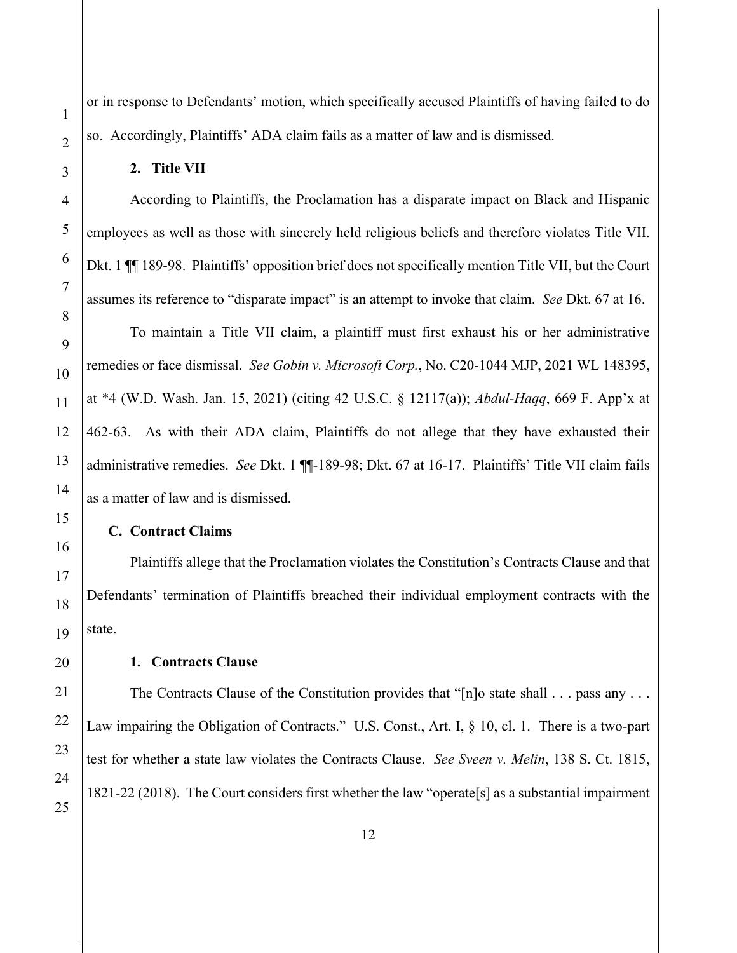or in response to Defendants' motion, which specifically accused Plaintiffs of having failed to do so. Accordingly, Plaintiffs' ADA claim fails as a matter of law and is dismissed.

**2. Title VII**

According to Plaintiffs, the Proclamation has a disparate impact on Black and Hispanic employees as well as those with sincerely held religious beliefs and therefore violates Title VII. Dkt. 1 ¶ 189-98. Plaintiffs' opposition brief does not specifically mention Title VII, but the Court assumes its reference to "disparate impact" is an attempt to invoke that claim. *See* Dkt. 67 at 16.

To maintain a Title VII claim, a plaintiff must first exhaust his or her administrative remedies or face dismissal. *See Gobin v. Microsoft Corp.*, No. C20-1044 MJP, 2021 WL 148395, at \*4 (W.D. Wash. Jan. 15, 2021) (citing 42 U.S.C. § 12117(a)); *Abdul-Haqq*, 669 F. App'x at 462-63. As with their ADA claim, Plaintiffs do not allege that they have exhausted their administrative remedies. *See* Dkt. 1 ¶¶-189-98; Dkt. 67 at 16-17. Plaintiffs' Title VII claim fails as a matter of law and is dismissed.

### **C. Contract Claims**

Plaintiffs allege that the Proclamation violates the Constitution's Contracts Clause and that Defendants' termination of Plaintiffs breached their individual employment contracts with the state.

**1. Contracts Clause**

The Contracts Clause of the Constitution provides that "[n]o state shall . . . pass any . . . Law impairing the Obligation of Contracts." U.S. Const., Art. I, § 10, cl. 1. There is a two-part test for whether a state law violates the Contracts Clause. *See Sveen v. Melin*, 138 S. Ct. 1815, 1821-22 (2018). The Court considers first whether the law "operate[s] as a substantial impairment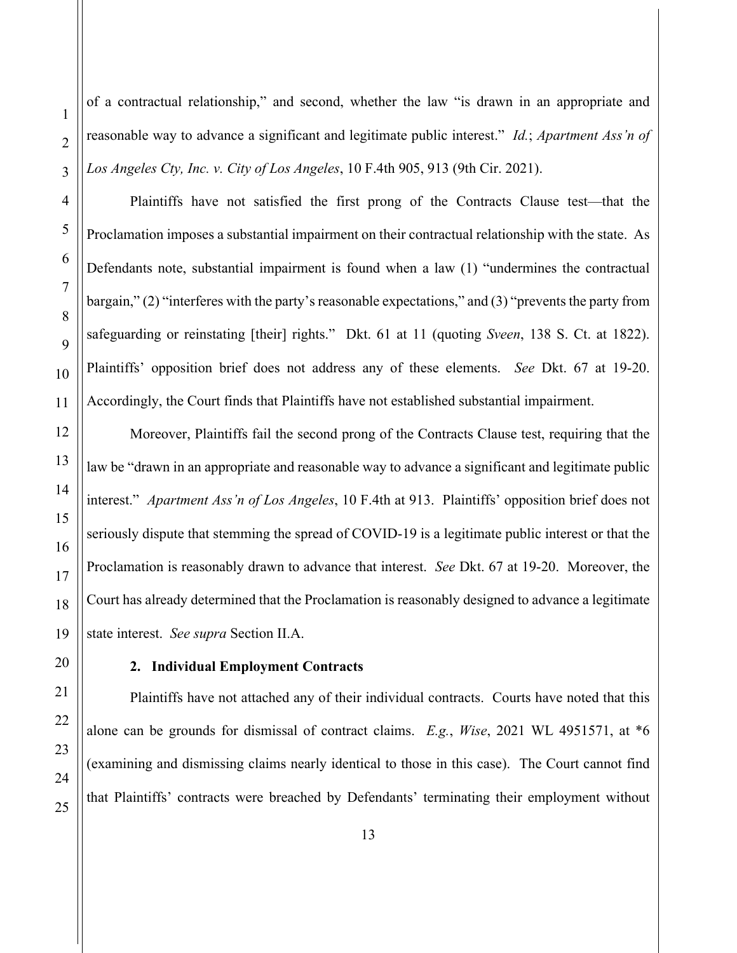of a contractual relationship," and second, whether the law "is drawn in an appropriate and reasonable way to advance a significant and legitimate public interest." *Id.*; *Apartment Ass'n of Los Angeles Cty, Inc. v. City of Los Angeles*, 10 F.4th 905, 913 (9th Cir. 2021).

Plaintiffs have not satisfied the first prong of the Contracts Clause test—that the Proclamation imposes a substantial impairment on their contractual relationship with the state. As Defendants note, substantial impairment is found when a law (1) "undermines the contractual bargain," (2) "interferes with the party's reasonable expectations," and (3) "prevents the party from safeguarding or reinstating [their] rights." Dkt. 61 at 11 (quoting *Sveen*, 138 S. Ct. at 1822). Plaintiffs' opposition brief does not address any of these elements. *See* Dkt. 67 at 19-20. Accordingly, the Court finds that Plaintiffs have not established substantial impairment.

Moreover, Plaintiffs fail the second prong of the Contracts Clause test, requiring that the law be "drawn in an appropriate and reasonable way to advance a significant and legitimate public interest." *Apartment Ass'n of Los Angeles*, 10 F.4th at 913. Plaintiffs' opposition brief does not seriously dispute that stemming the spread of COVID-19 is a legitimate public interest or that the Proclamation is reasonably drawn to advance that interest. *See* Dkt. 67 at 19-20. Moreover, the Court has already determined that the Proclamation is reasonably designed to advance a legitimate state interest. *See supra* Section II.A.

### **2. Individual Employment Contracts**

Plaintiffs have not attached any of their individual contracts. Courts have noted that this alone can be grounds for dismissal of contract claims. *E.g.*, *Wise*, 2021 WL 4951571, at \*6 (examining and dismissing claims nearly identical to those in this case). The Court cannot find that Plaintiffs' contracts were breached by Defendants' terminating their employment without

1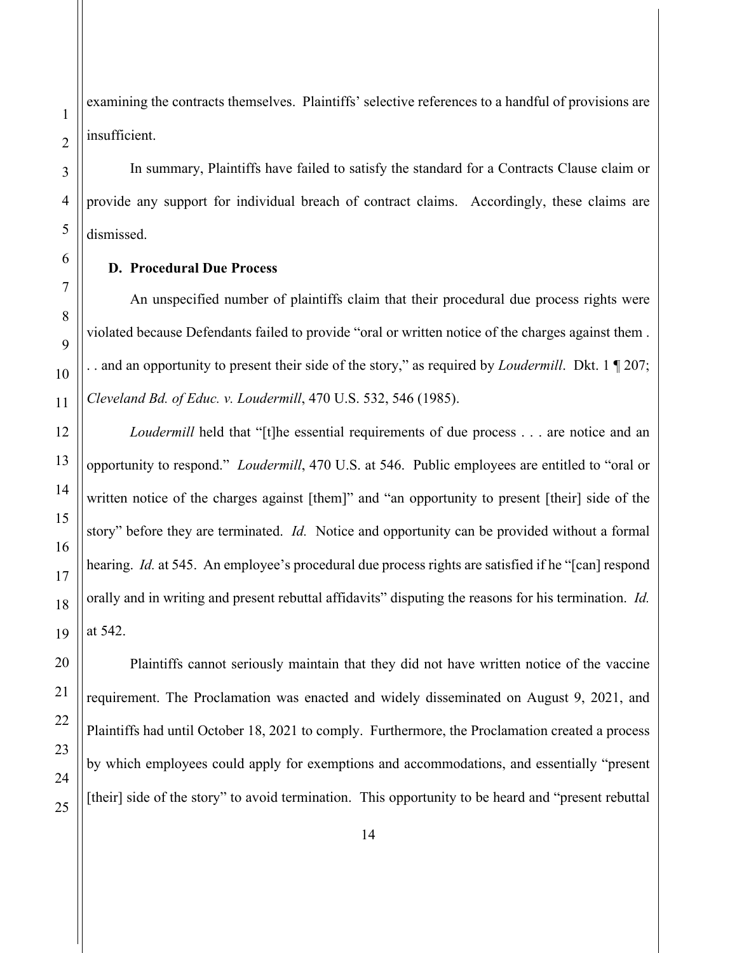examining the contracts themselves. Plaintiffs' selective references to a handful of provisions are insufficient.

In summary, Plaintiffs have failed to satisfy the standard for a Contracts Clause claim or provide any support for individual breach of contract claims. Accordingly, these claims are dismissed.

# **D. Procedural Due Process**

An unspecified number of plaintiffs claim that their procedural due process rights were violated because Defendants failed to provide "oral or written notice of the charges against them . . . and an opportunity to present their side of the story," as required by *Loudermill*. Dkt. 1 ¶ 207; *Cleveland Bd. of Educ. v. Loudermill*, 470 U.S. 532, 546 (1985).

*Loudermill* held that "[t]he essential requirements of due process . . . are notice and an opportunity to respond." *Loudermill*, 470 U.S. at 546. Public employees are entitled to "oral or written notice of the charges against [them]" and "an opportunity to present [their] side of the story" before they are terminated. *Id.* Notice and opportunity can be provided without a formal hearing. *Id.* at 545. An employee's procedural due process rights are satisfied if he "[can] respond orally and in writing and present rebuttal affidavits" disputing the reasons for his termination. *Id.* at 542.

Plaintiffs cannot seriously maintain that they did not have written notice of the vaccine requirement. The Proclamation was enacted and widely disseminated on August 9, 2021, and Plaintiffs had until October 18, 2021 to comply. Furthermore, the Proclamation created a process by which employees could apply for exemptions and accommodations, and essentially "present [their] side of the story" to avoid termination. This opportunity to be heard and "present rebuttal"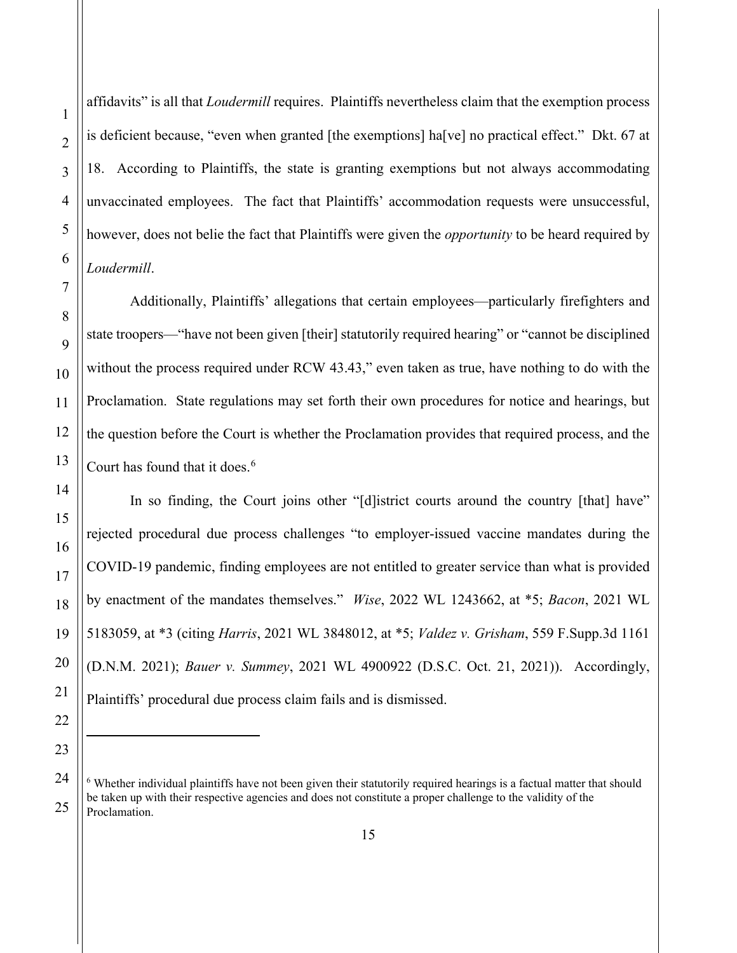3 4 5 6 7 8 9 10 11 12 13 14 15 16 17 18 19 20 21 18. According to Plaintiffs, the state is granting exemptions but not always accommodating unvaccinated employees. The fact that Plaintiffs' accommodation requests were unsuccessful, however, does not belie the fact that Plaintiffs were given the *opportunity* to be heard required by *Loudermill*.

22

23

<span id="page-14-0"></span>24

25

1

2

affidavits" is all that *Loudermill* requires. Plaintiffs nevertheless claim that the exemption process

is deficient because, "even when granted [the exemptions] ha[ve] no practical effect." Dkt. 67 at

Proclamation. State regulations may set forth their own procedures for notice and hearings, but the question before the Court is whether the Proclamation provides that required process, and the Court has found that it does. $6$ 

In so finding, the Court joins other "[d]istrict courts around the country [that] have" rejected procedural due process challenges "to employer-issued vaccine mandates during the COVID-19 pandemic, finding employees are not entitled to greater service than what is provided by enactment of the mandates themselves." *Wise*, 2022 WL 1243662, at \*5; *Bacon*, 2021 WL 5183059, at \*3 (citing *Harris*, 2021 WL 3848012, at \*5; *Valdez v. Grisham*, 559 F.Supp.3d 1161 (D.N.M. 2021); *Bauer v. Summey*, 2021 WL 4900922 (D.S.C. Oct. 21, 2021)). Accordingly, Plaintiffs' procedural due process claim fails and is dismissed.

Additionally, Plaintiffs' allegations that certain employees—particularly firefighters and state troopers—"have not been given [their] statutorily required hearing" or "cannot be disciplined without the process required under RCW 43.43," even taken as true, have nothing to do with the

 $6$  Whether individual plaintiffs have not been given their statutorily required hearings is a factual matter that should be taken up with their respective agencies and does not constitute a proper challenge to the validity of the Proclamation.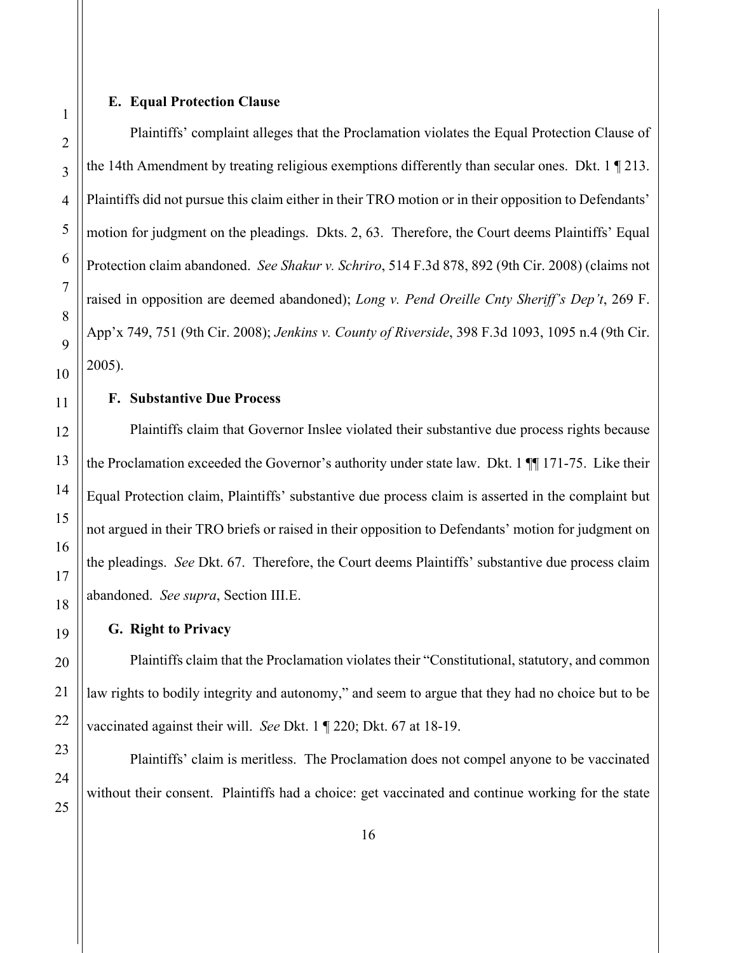# **E. Equal Protection Clause**

Plaintiffs' complaint alleges that the Proclamation violates the Equal Protection Clause of the 14th Amendment by treating religious exemptions differently than secular ones. Dkt. 1 ¶ 213. Plaintiffs did not pursue this claim either in their TRO motion or in their opposition to Defendants' motion for judgment on the pleadings. Dkts. 2, 63. Therefore, the Court deems Plaintiffs' Equal Protection claim abandoned. *See Shakur v. Schriro*, 514 F.3d 878, 892 (9th Cir. 2008) (claims not raised in opposition are deemed abandoned); *Long v. Pend Oreille Cnty Sheriff's Dep't*, 269 F. App'x 749, 751 (9th Cir. 2008); *Jenkins v. County of Riverside*, 398 F.3d 1093, 1095 n.4 (9th Cir. 2005).

# **F. Substantive Due Process**

Plaintiffs claim that Governor Inslee violated their substantive due process rights because the Proclamation exceeded the Governor's authority under state law. Dkt. 1 ¶¶ 171-75. Like their Equal Protection claim, Plaintiffs' substantive due process claim is asserted in the complaint but not argued in their TRO briefs or raised in their opposition to Defendants' motion for judgment on the pleadings. *See* Dkt. 67. Therefore, the Court deems Plaintiffs' substantive due process claim abandoned. *See supra*, Section III.E.

#### **G. Right to Privacy**

Plaintiffs claim that the Proclamation violates their "Constitutional, statutory, and common law rights to bodily integrity and autonomy," and seem to argue that they had no choice but to be vaccinated against their will. *See* Dkt. 1 ¶ 220; Dkt. 67 at 18-19.

Plaintiffs' claim is meritless. The Proclamation does not compel anyone to be vaccinated without their consent. Plaintiffs had a choice: get vaccinated and continue working for the state